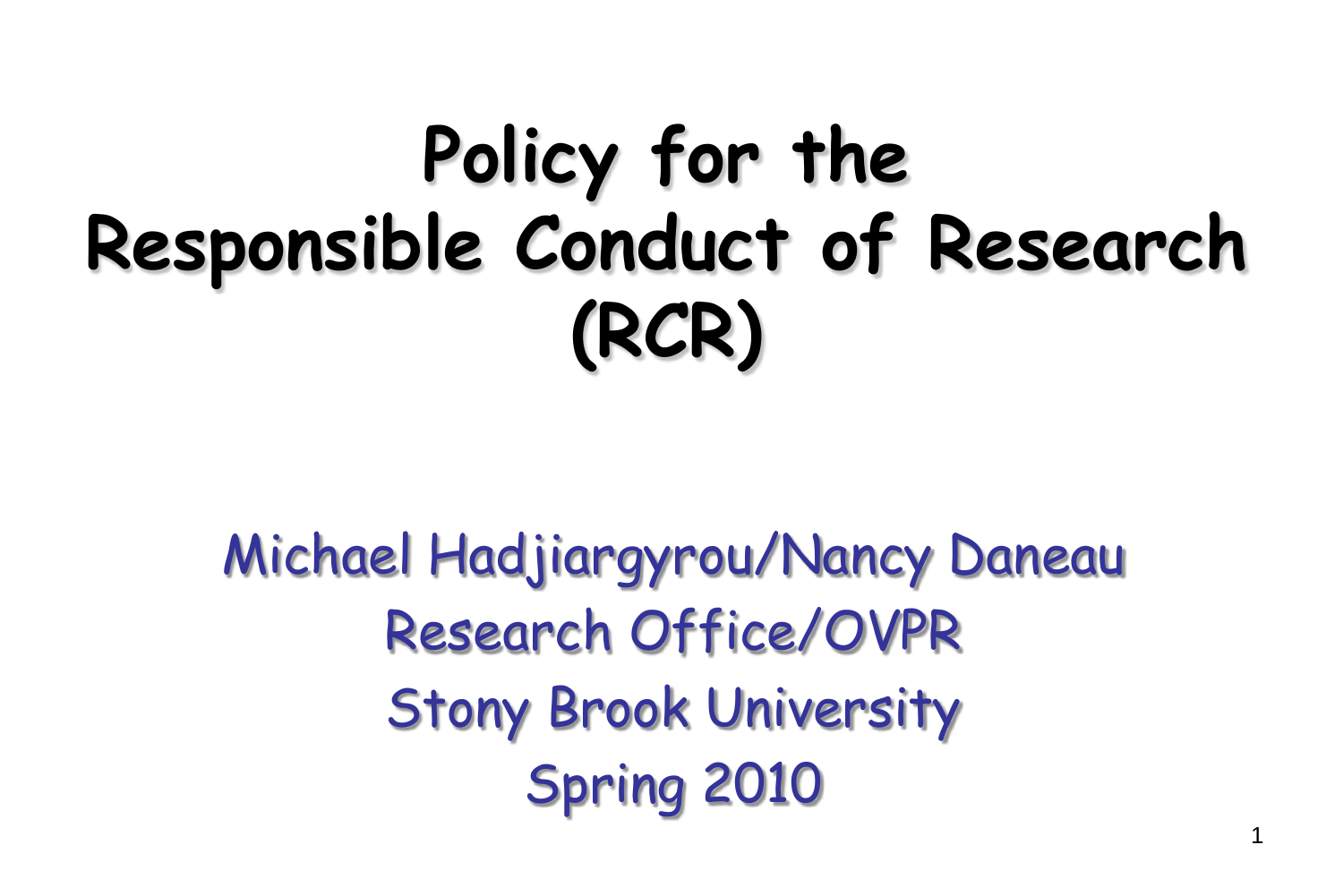# **Policy for the Responsible Conduct of Research (RCR)**

Michael Hadjiargyrou/Nancy Daneau Research Office/OVPR Stony Brook University Spring 2010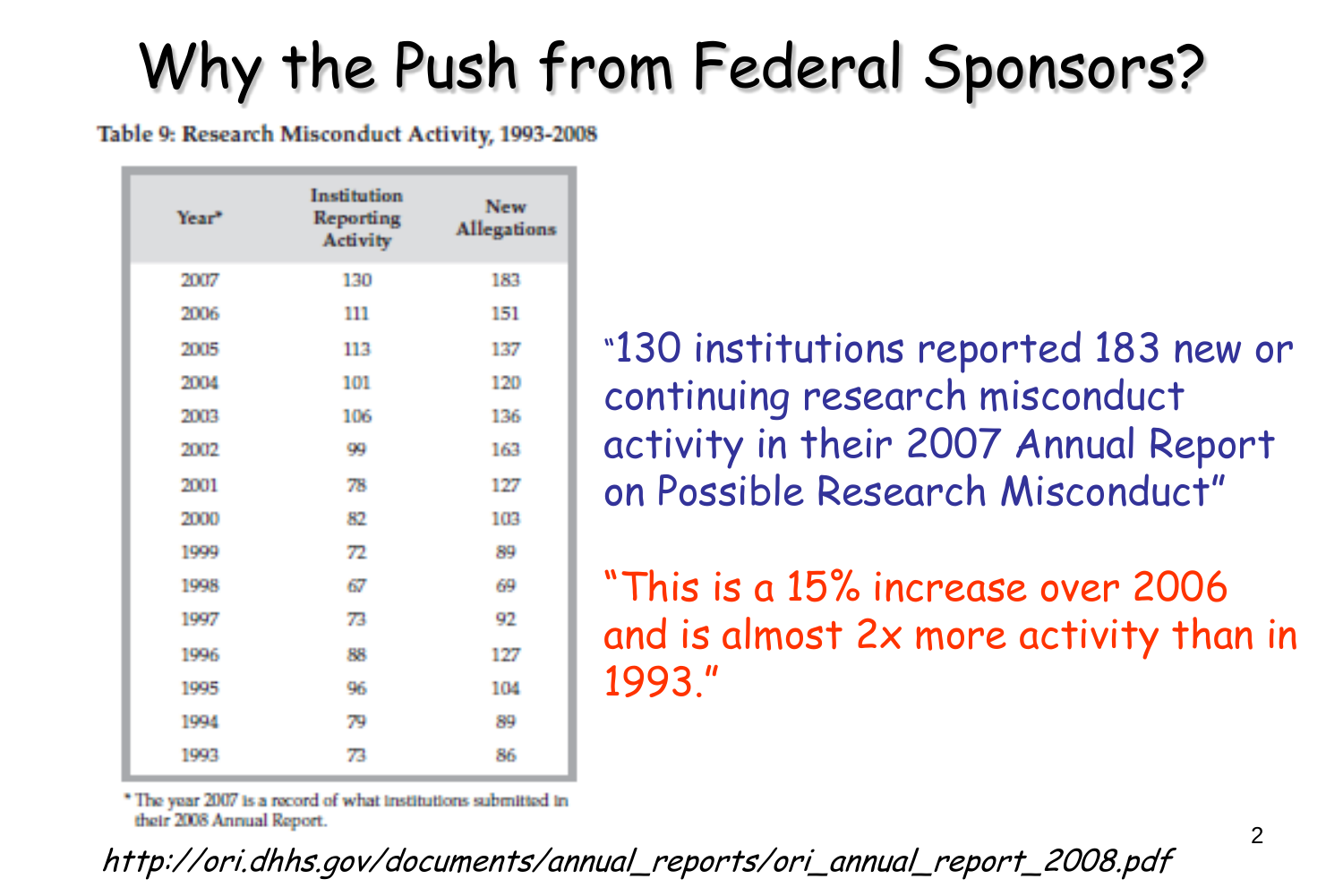#### Why the Push from Federal Sponsors?

#### Table 9: Research Misconduct Activity, 1993-2008

| Year* | Institution<br>Reporting<br><b>Activity</b> | <b>New</b><br><b>Allegations</b> |
|-------|---------------------------------------------|----------------------------------|
| 2007  | 130                                         | 183                              |
| 2006  | 111                                         | 151                              |
| 2005  | 113                                         | 137                              |
| 2004  | 101                                         | 120                              |
| 2003  | 106                                         | 136                              |
| 2002  | 99                                          | 163                              |
| 2001  | 78                                          | 127                              |
| 2000  | 82                                          | 103                              |
| 1999  | 72                                          | 89                               |
| 1998  | 67                                          | 69                               |
| 1997  | 73                                          | 92                               |
| 1996  | 88                                          | 127                              |
| 1995  | 96                                          | 104                              |
| 1994  | 79                                          | 89                               |
| 1993  | 73                                          | 86                               |

"130 institutions reported 183 new or continuing research misconduct activity in their 2007 Annual Report on Possible Research Misconduct"

"This is a 15% increase over 2006 and is almost 2x more activity than in 1993."

\* The year 2007 is a record of what institutions submitted in their 2008 Annual Report.

http://ori.dhhs.gov/documents/annual\_reports/ori\_annual\_report\_2008.pdf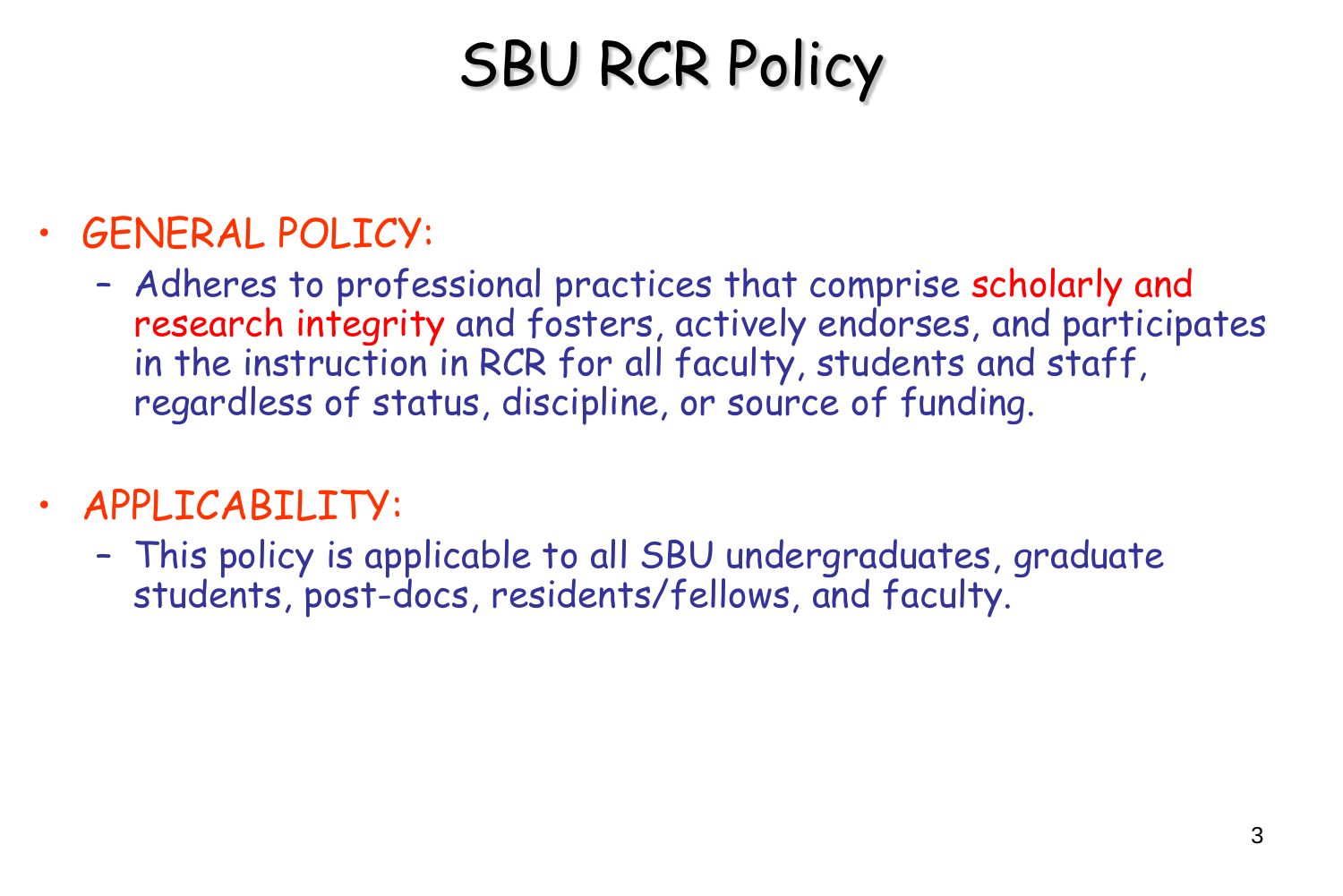#### • GENERAL POLICY:

– Adheres to professional practices that comprise scholarly and research integrity and fosters, actively endorses, and participates in the instruction in RCR for all faculty, students and staff, regardless of status, discipline, or source of funding.

#### • APPLICABILITY:

– This policy is applicable to all SBU undergraduates, graduate students, post-docs, residents/fellows, and faculty.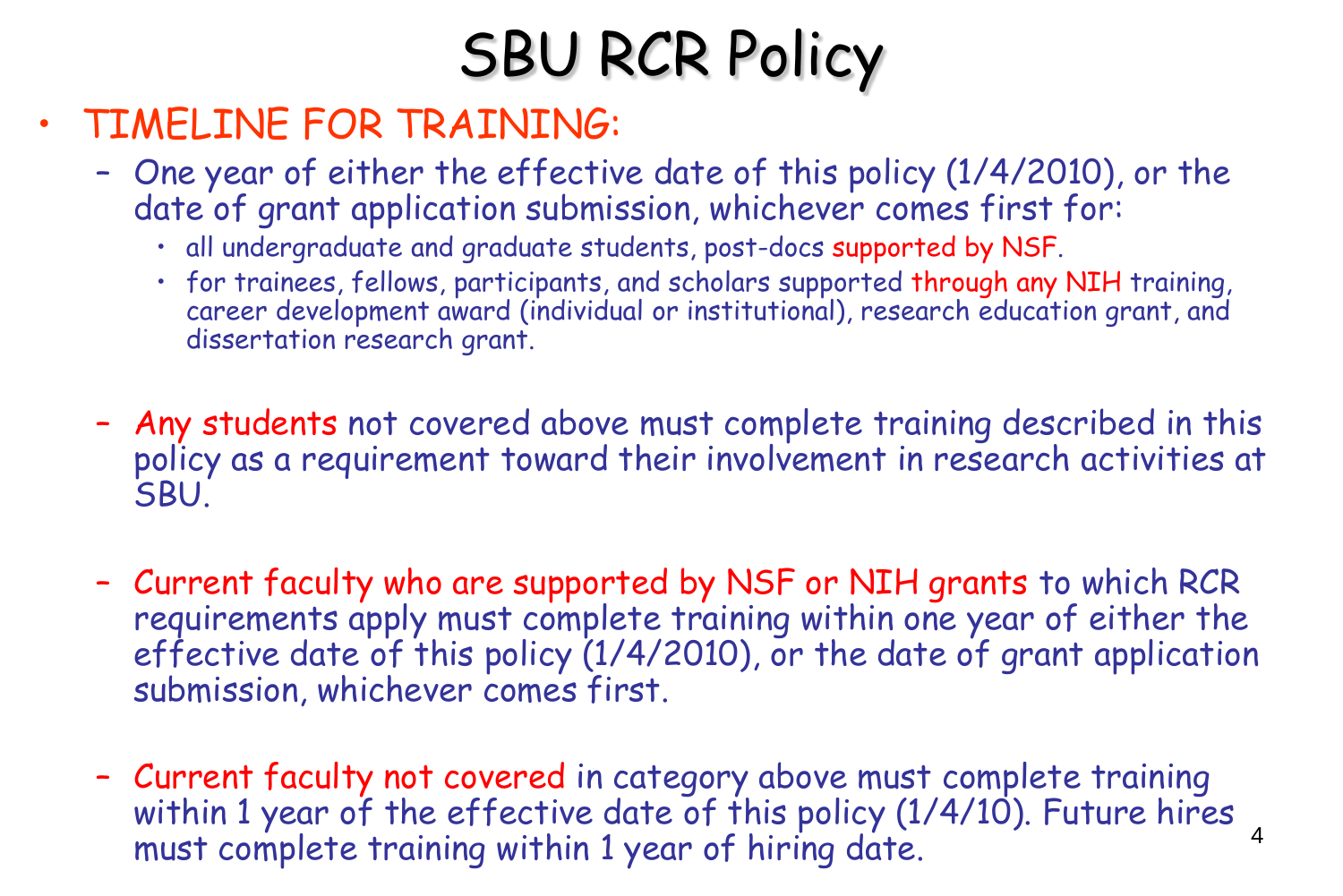#### • TIMELINE FOR TRAINING:

- One year of either the effective date of this policy (1/4/2010), or the date of grant application submission, whichever comes first for:
	- all undergraduate and graduate students, post-docs supported by NSF.
	- for trainees, fellows, participants, and scholars supported through any NIH training, career development award (individual or institutional), research education grant, and dissertation research grant.
- Any students not covered above must complete training described in this policy as a requirement toward their involvement in research activities at SBU.
- Current faculty who are supported by NSF or NIH grants to which RCR requirements apply must complete training within one year of either the effective date of this policy (1/4/2010), or the date of grant application submission, whichever comes first.
- Current faculty not covered in category above must complete training within 1 year of the effective date of this policy (1/4/10). Future hires must complete training within 1 year of hiring date.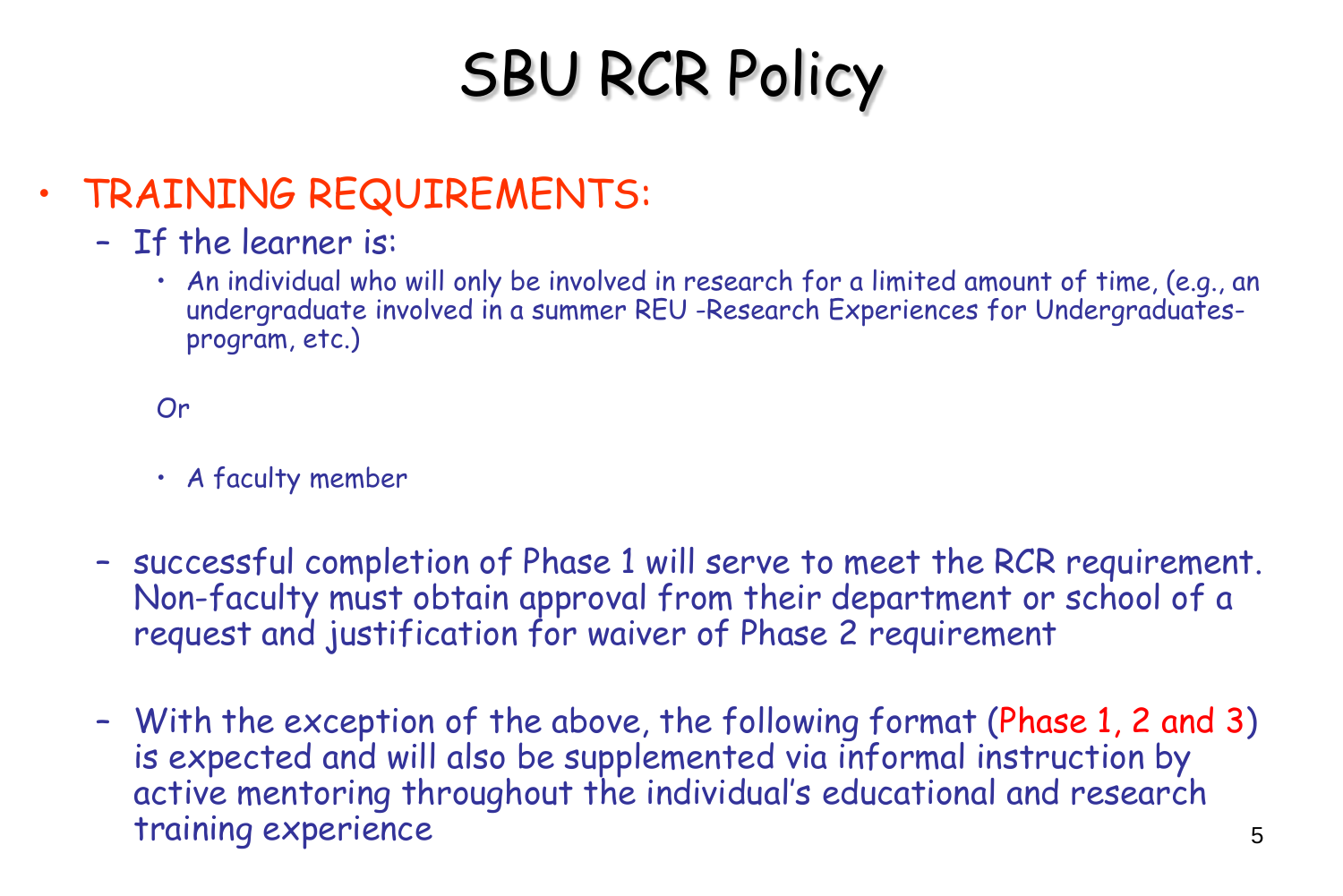- TRAINING REQUIREMENTS:
	- If the learner is:
		- An individual who will only be involved in research for a limited amount of time, (e.g., an undergraduate involved in a summer REU -Research Experiences for Undergraduatesprogram, etc.)

Or

- A faculty member
- successful completion of Phase 1 will serve to meet the RCR requirement. Non-faculty must obtain approval from their department or school of a request and justification for waiver of Phase 2 requirement
- With the exception of the above, the following format (Phase 1, 2 and 3) is expected and will also be supplemented via informal instruction by active mentoring throughout the individual's educational and research training experience 5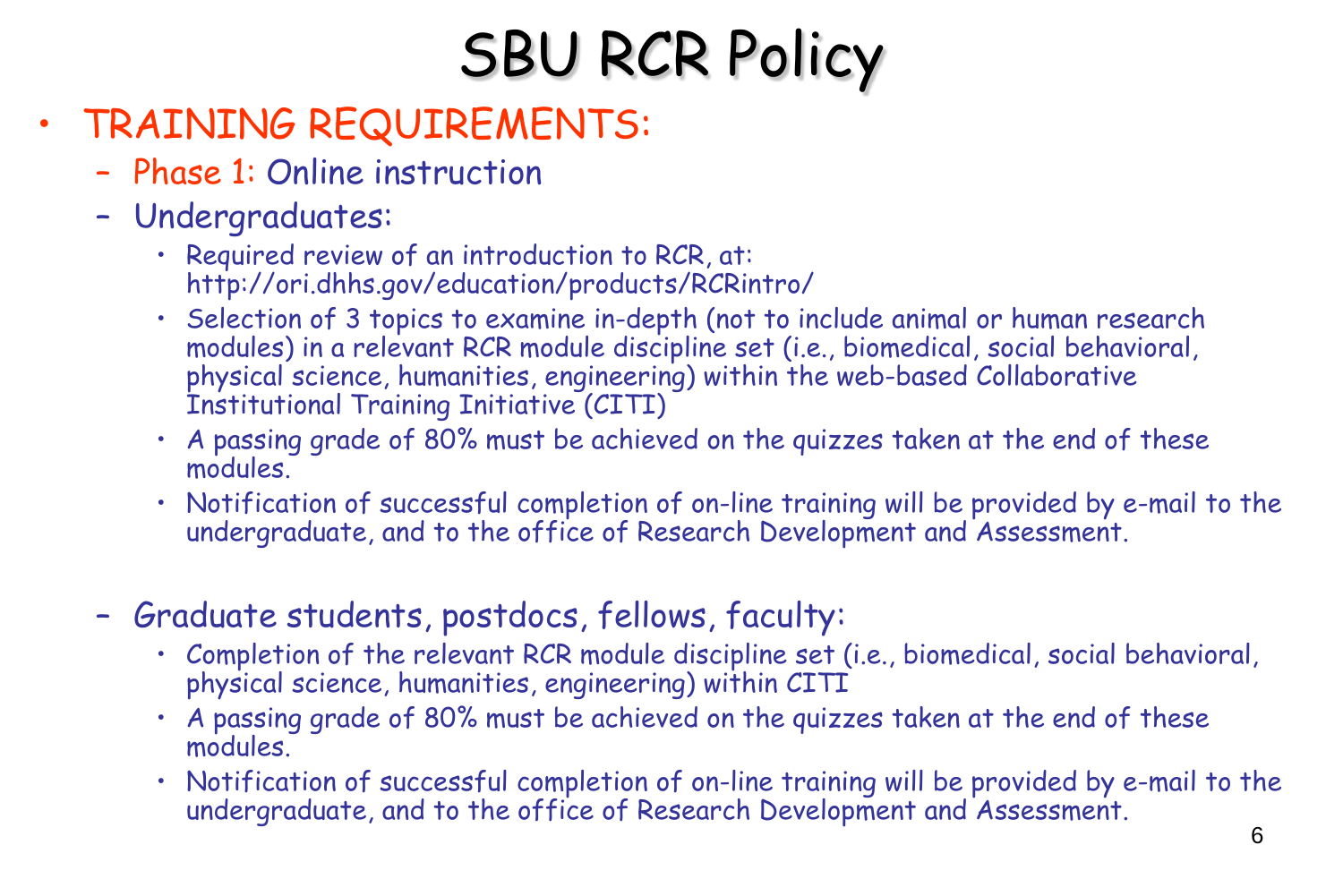#### • TRAINING REQUIREMENTS:

- Phase 1: Online instruction
- Undergraduates:
	- Required review of an introduction to RCR, at: http://ori.dhhs.gov/education/products/RCRintro/
	- Selection of 3 topics to examine in-depth (not to include animal or human research modules) in a relevant RCR module discipline set (i.e., biomedical, social behavioral, physical science, humanities, engineering) within the web-based Collaborative Institutional Training Initiative (CITI)
	- A passing grade of 80% must be achieved on the quizzes taken at the end of these modules.
	- Notification of successful completion of on-line training will be provided by e-mail to the undergraduate, and to the office of Research Development and Assessment.
- Graduate students, postdocs, fellows, faculty:
	- Completion of the relevant RCR module discipline set (i.e., biomedical, social behavioral, physical science, humanities, engineering) within CITI
	- A passing grade of 80% must be achieved on the quizzes taken at the end of these modules.
	- Notification of successful completion of on-line training will be provided by e-mail to the undergraduate, and to the office of Research Development and Assessment.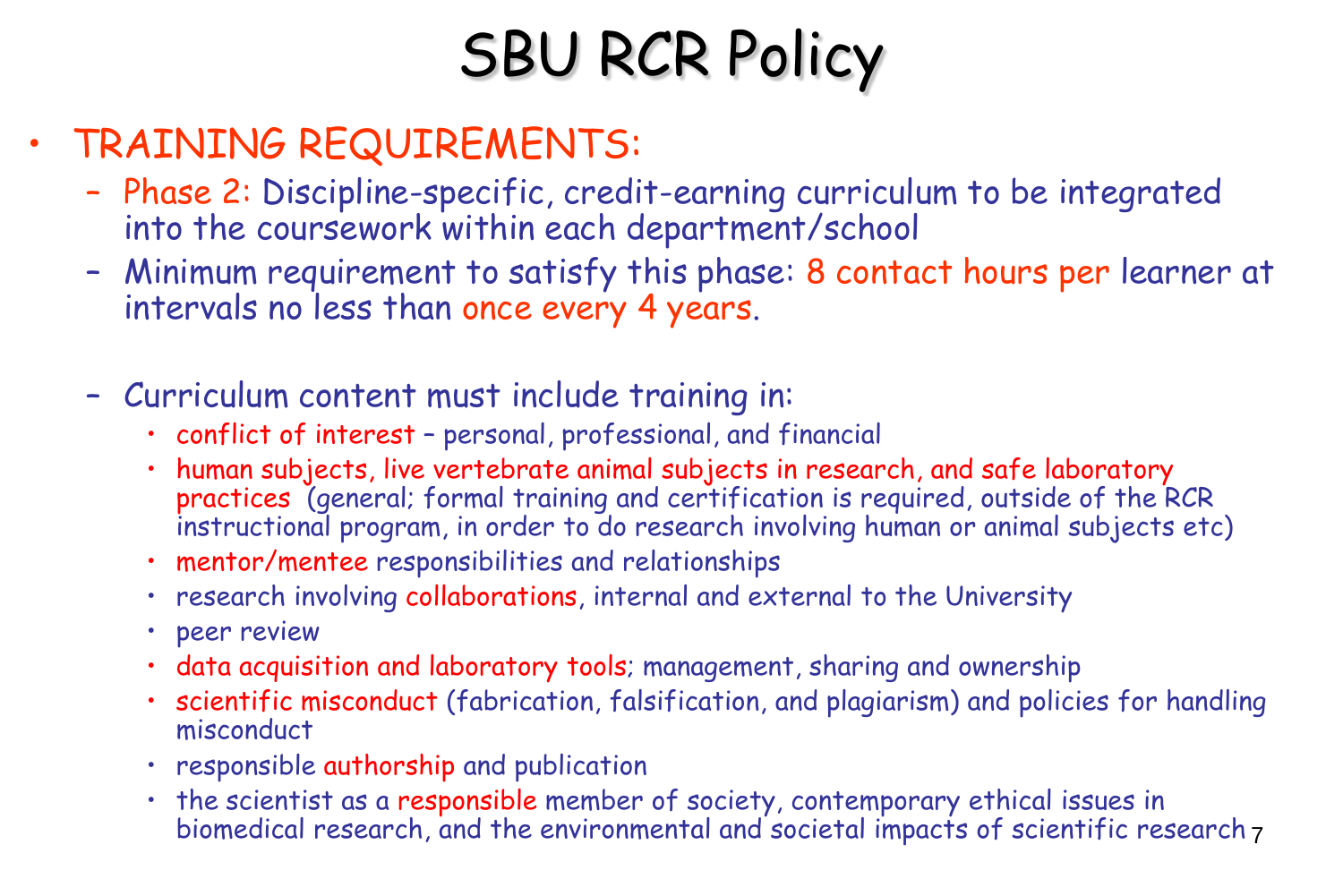#### • TRAINING REQUIREMENTS:

- Phase 2: Discipline-specific, credit-earning curriculum to be integrated into the coursework within each department/school
- Minimum requirement to satisfy this phase: 8 contact hours per learner at intervals no less than once every 4 years.
- Curriculum content must include training in:
	- conflict of interest personal, professional, and financial
	- human subjects, live vertebrate animal subjects in research, and safe laboratory practices (general; formal training and certification is required, outside of the RCR instructional program, in order to do research involving human or animal subjects etc)
	- mentor/mentee responsibilities and relationships
	- research involving collaborations, internal and external to the University
	- peer review
	- data acquisition and laboratory tools; management, sharing and ownership
	- scientific misconduct (fabrication, falsification, and plagiarism) and policies for handling misconduct
	- responsible authorship and publication
	- the scientist as a responsible member of society, contemporary ethical issues in biomedical research, and the environmental and societal impacts of scientific research 7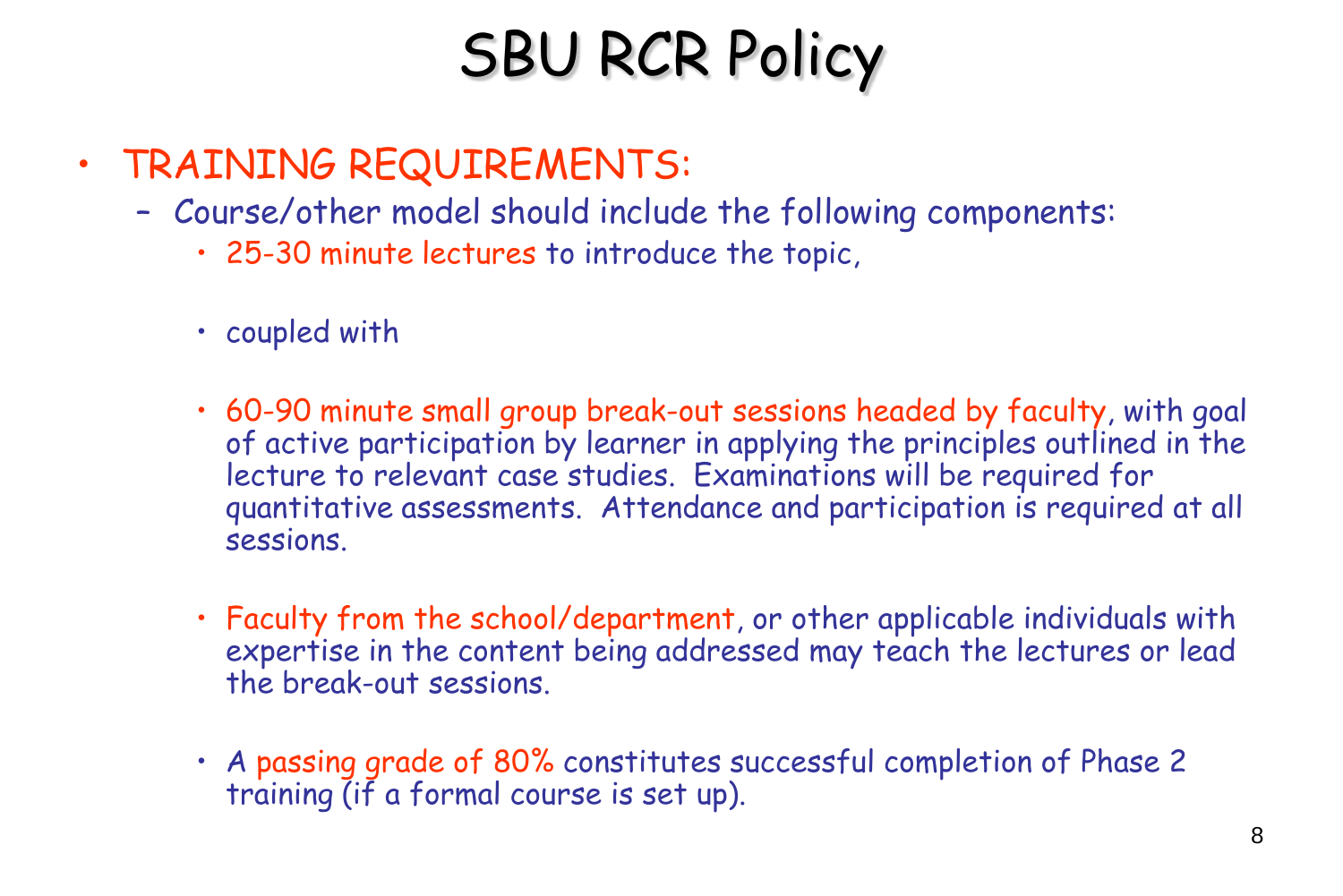#### • TRAINING REQUIREMENTS:

- Course/other model should include the following components:
	- 25-30 minute lectures to introduce the topic,
	- coupled with
	- 60-90 minute small group break-out sessions headed by faculty, with goal of active participation by learner in applying the principles outlined in the lecture to relevant case studies. Examinations will be required for quantitative assessments. Attendance and participation is required at all sessions.
	- Faculty from the school/department, or other applicable individuals with expertise in the content being addressed may teach the lectures or lead the break-out sessions.
	- A passing grade of 80% constitutes successful completion of Phase 2 training (if a formal course is set up).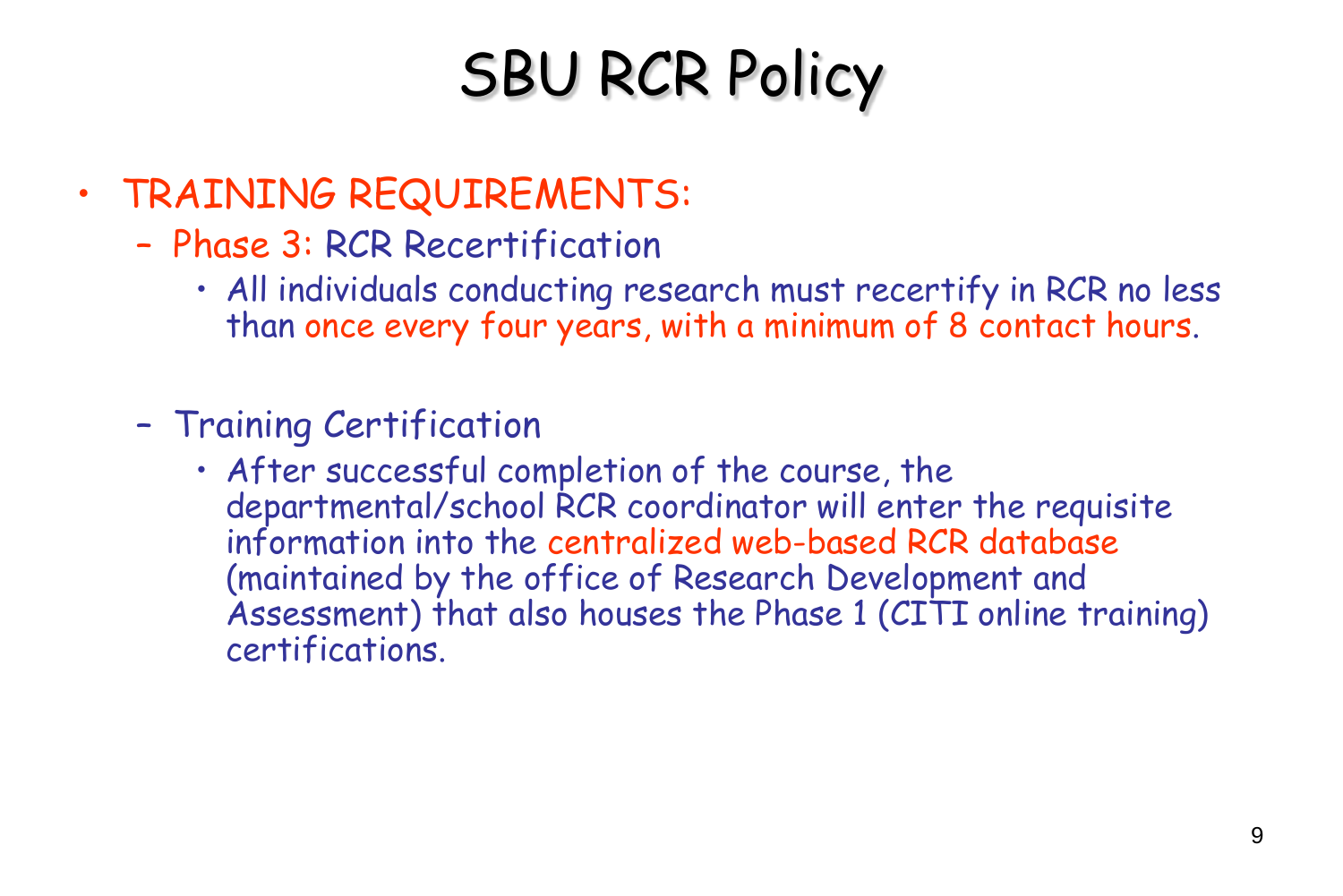- TRAINING REQUIREMENTS:
	- Phase 3: RCR Recertification
		- All individuals conducting research must recertify in RCR no less than once every four years, with a minimum of 8 contact hours.
	- Training Certification
		- After successful completion of the course, the departmental/school RCR coordinator will enter the requisite information into the centralized web-based RCR database (maintained by the office of Research Development and Assessment) that also houses the Phase 1 (CITI online training) certifications.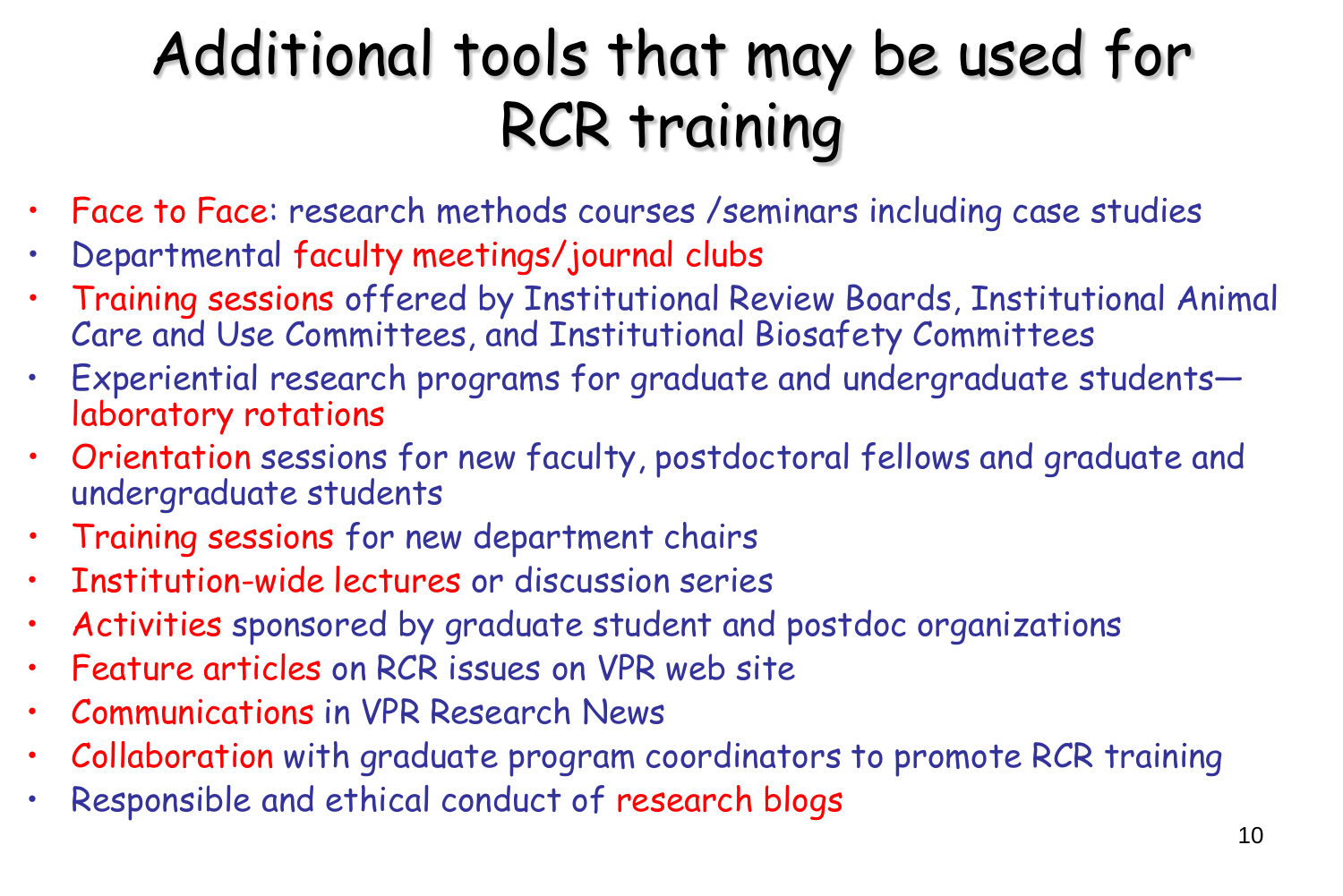#### Additional tools that may be used for RCR training

- Face to Face: research methods courses /seminars including case studies
- Departmental faculty meetings/journal clubs
- Training sessions offered by Institutional Review Boards, Institutional Animal Care and Use Committees, and Institutional Biosafety Committees
- Experiential research programs for graduate and undergraduate students laboratory rotations
- Orientation sessions for new faculty, postdoctoral fellows and graduate and undergraduate students
- Training sessions for new department chairs
- Institution-wide lectures or discussion series
- Activities sponsored by graduate student and postdoc organizations
- Feature articles on RCR issues on VPR web site
- Communications in VPR Research News
- Collaboration with graduate program coordinators to promote RCR training
- Responsible and ethical conduct of research blogs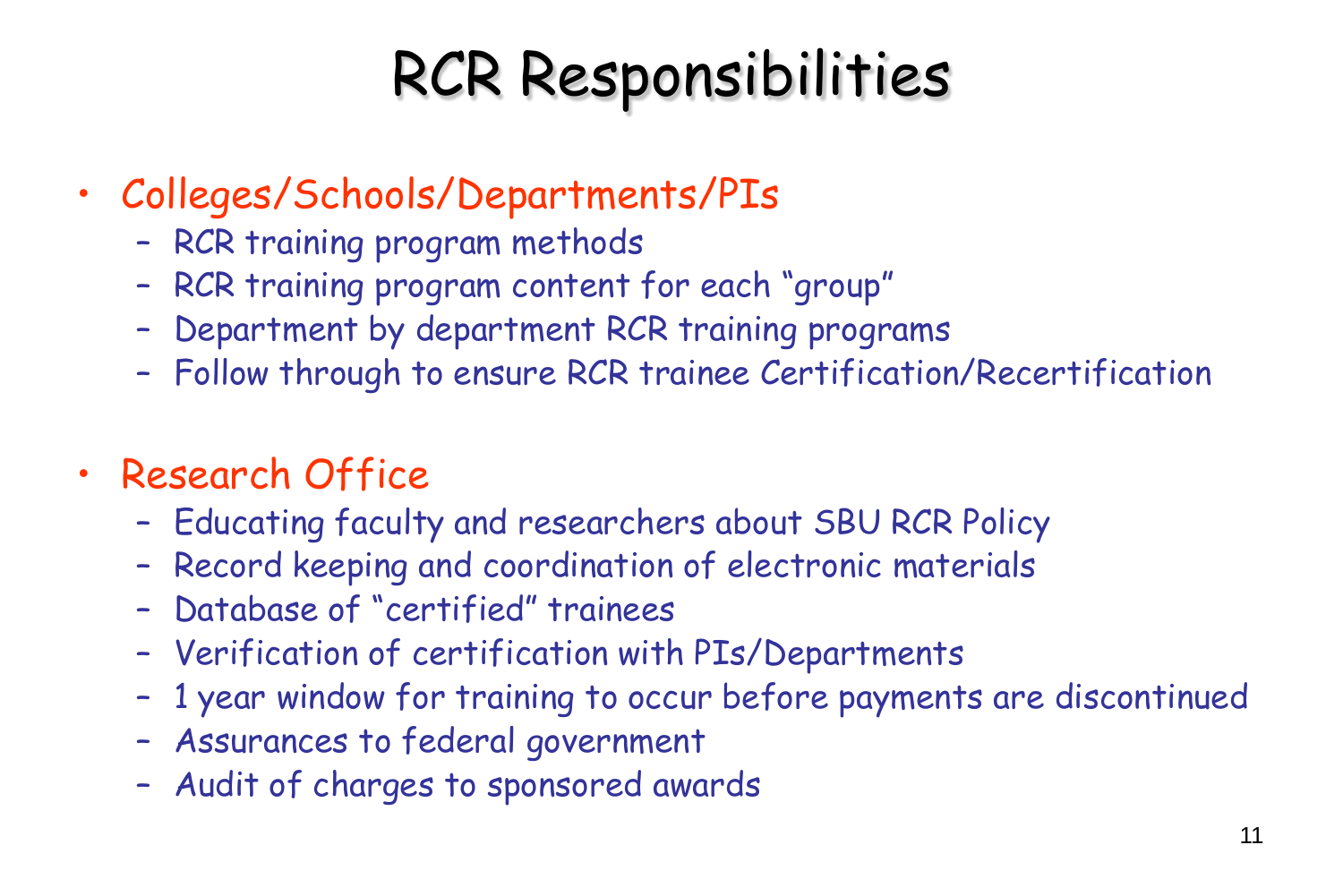### RCR Responsibilities

- Colleges/Schools/Departments/PIs
	- RCR training program methods
	- RCR training program content for each "group"
	- Department by department RCR training programs
	- Follow through to ensure RCR trainee Certification/Recertification
- Research Office
	- Educating faculty and researchers about SBU RCR Policy
	- Record keeping and coordination of electronic materials
	- Database of "certified" trainees
	- Verification of certification with PIs/Departments
	- 1 year window for training to occur before payments are discontinued
	- Assurances to federal government
	- Audit of charges to sponsored awards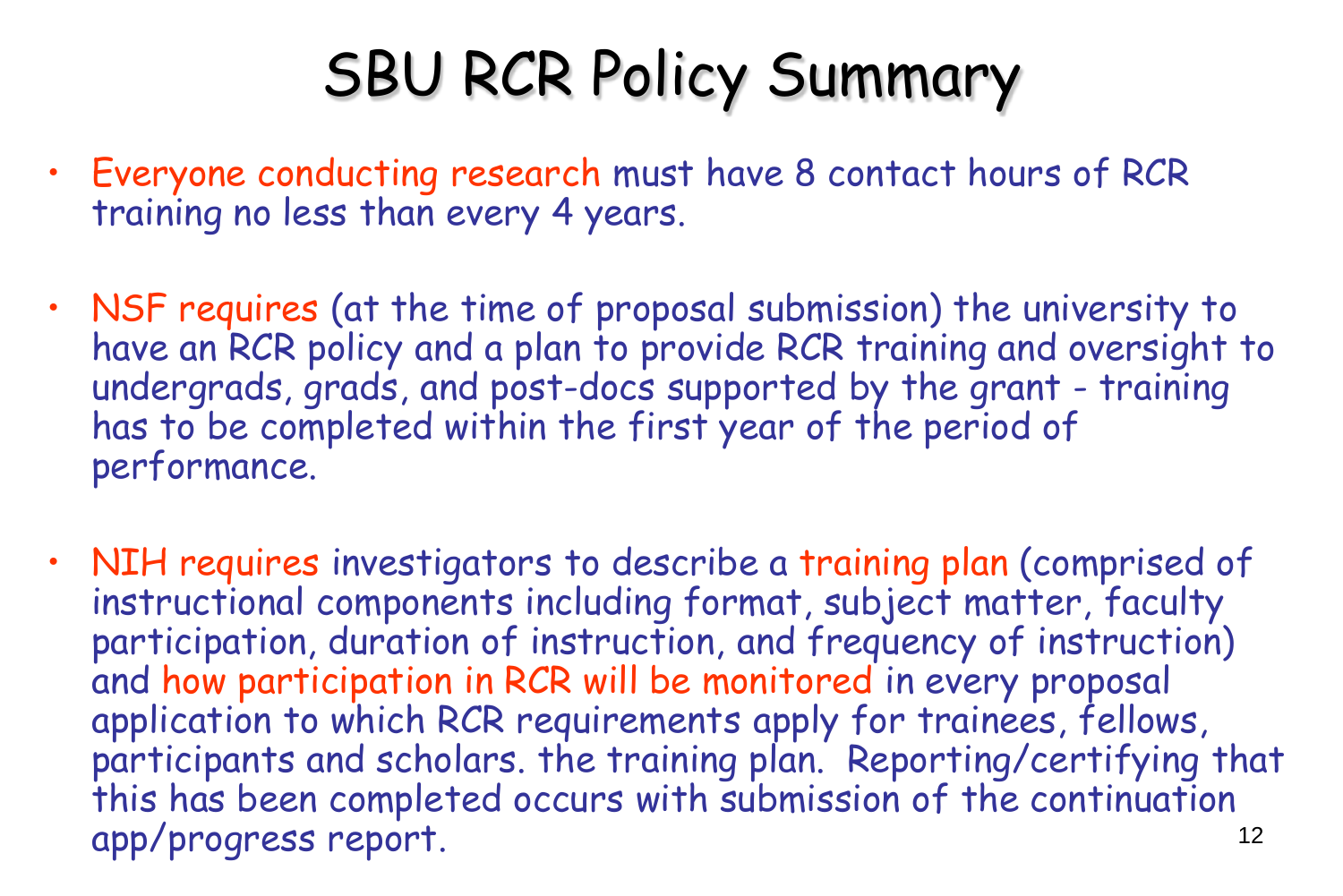### SBU RCR Policy Summary

- Everyone conducting research must have 8 contact hours of RCR training no less than every 4 years.
- NSF requires (at the time of proposal submission) the university to have an RCR policy and a plan to provide RCR training and oversight to undergrads, grads, and post-docs supported by the grant - training has to be completed within the first year of the period of performance.
- NIH requires investigators to describe a training plan (comprised of instructional components including format, subject matter, faculty participation, duration of instruction, and frequency of instruction) and how participation in RCR will be monitored in every proposal application to which RCR requirements apply for trainees, fellows, participants and scholars. the training plan. Reporting/certifying that this has been completed occurs with submission of the continuation app/progress report. 12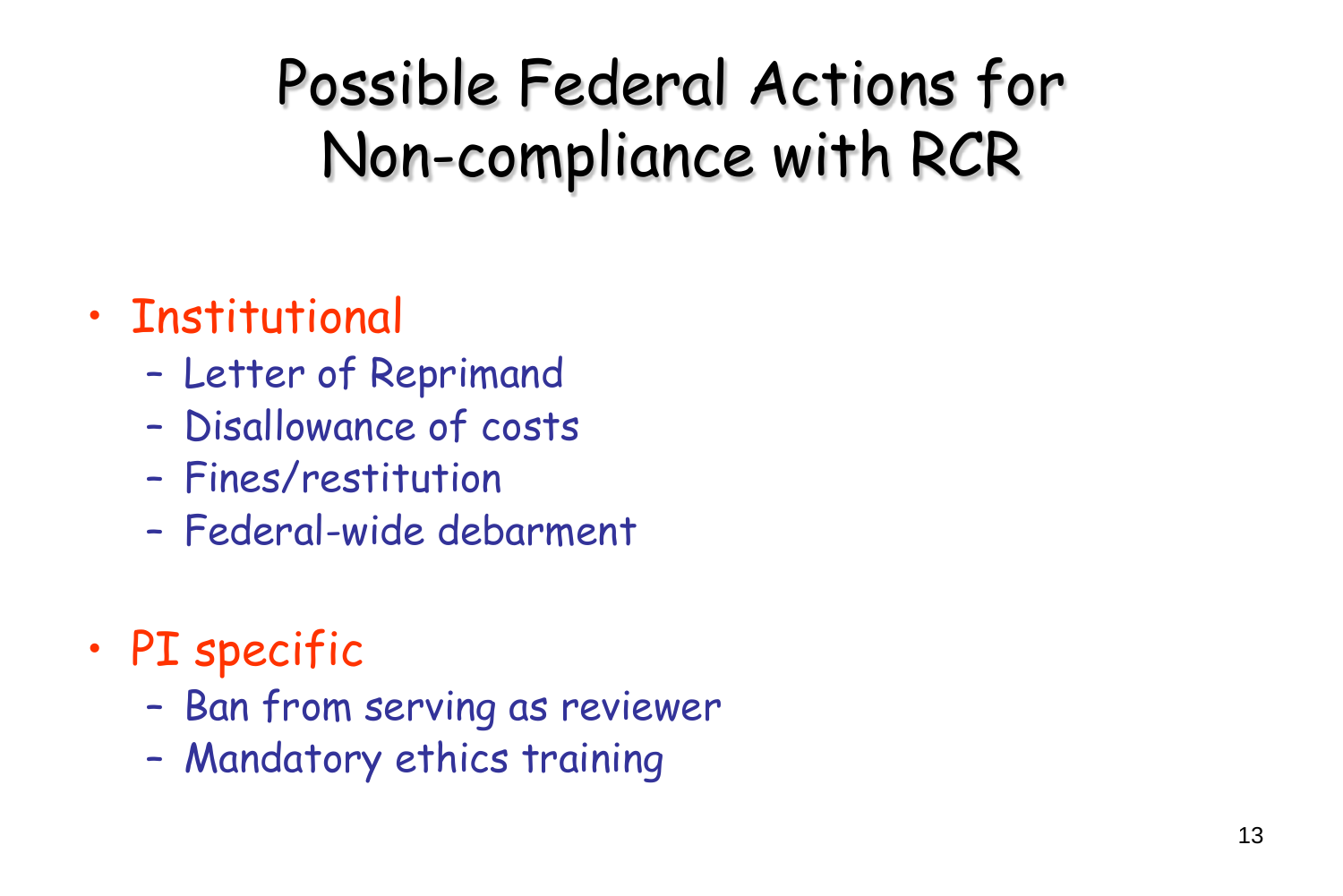Possible Federal Actions for Non-compliance with RCR

#### • Institutional

- Letter of Reprimand
- Disallowance of costs
- Fines/restitution
- Federal-wide debarment
- PI specific
	- Ban from serving as reviewer
	- Mandatory ethics training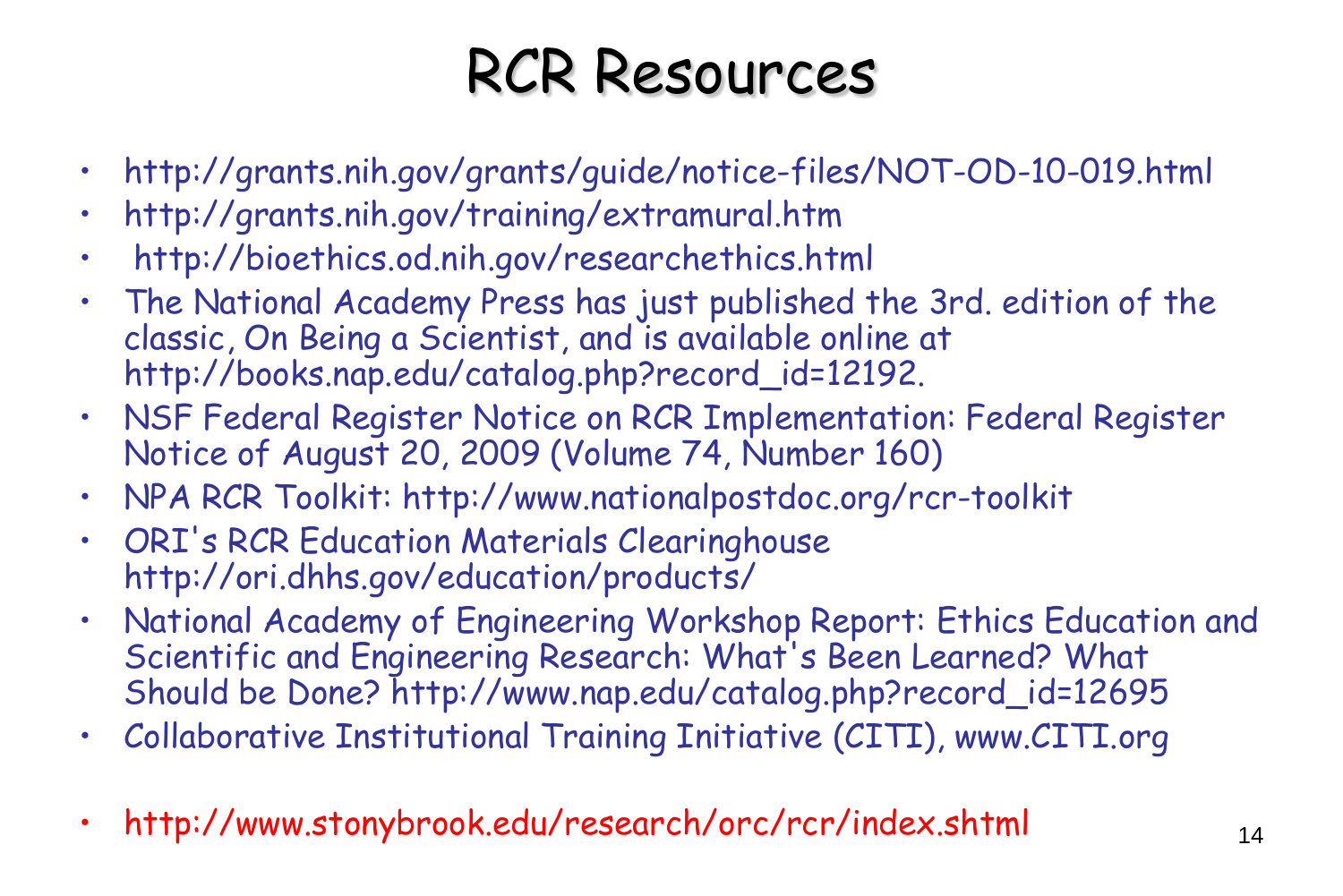#### RCR Resources

- http://grants.nih.gov/grants/guide/notice-files/NOT-OD-10-019.html
- http://grants.nih.gov/training/extramural.htm
- http://bioethics.od.nih.gov/researchethics.html
- The National Academy Press has just published the 3rd. edition of the classic, On Being a Scientist, and is available online at http://books.nap.edu/catalog.php?record\_id=12192.
- NSF Federal Register Notice on RCR Implementation: Federal Register Notice of August 20, 2009 (Volume 74, Number 160)
- NPA RCR Toolkit: http://www.nationalpostdoc.org/rcr-toolkit
- ORI's RCR Education Materials Clearinghouse http://ori.dhhs.gov/education/products/
- National Academy of Engineering Workshop Report: Ethics Education and Scientific and Engineering Research: What's Been Learned? What Should be Done? http://www.nap.edu/catalog.php?record\_id=12695
- Collaborative Institutional Training Initiative (CITI), www.CITI.org
- http://www.stonybrook.edu/research/orc/rcr/index.shtml <sup>14</sup>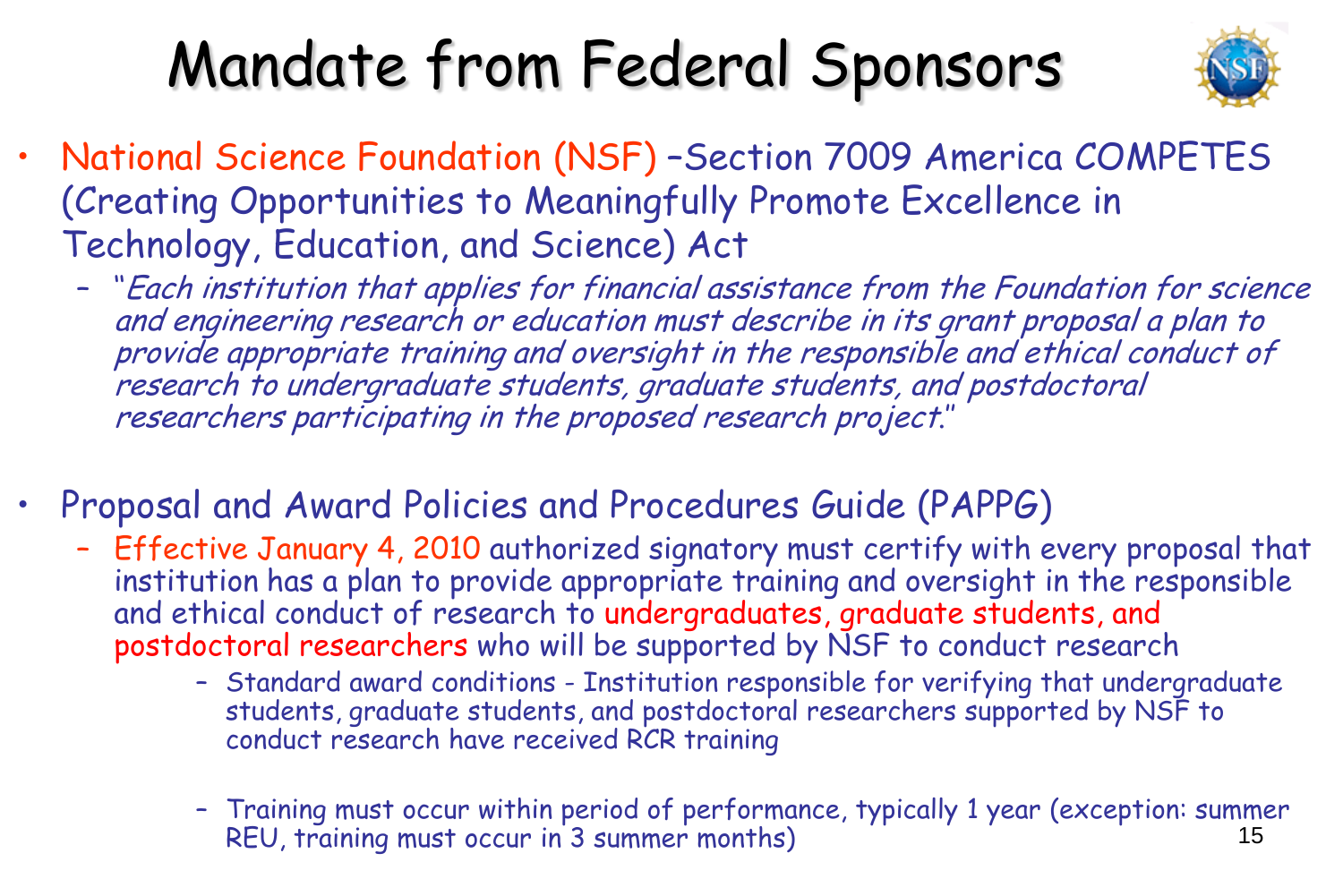

- National Science Foundation (NSF) –Section 7009 America COMPETES (Creating Opportunities to Meaningfully Promote Excellence in Technology, Education, and Science) Act
	- ''Each institution that applies for financial assistance from the Foundation for science and engineering research or education must describe in its grant proposal a plan to provide appropriate training and oversight in the responsible and ethical conduct of research to undergraduate students, graduate students, and postdoctoral researchers participating in the proposed research project.''
- Proposal and Award Policies and Procedures Guide (PAPPG)
	- Effective January 4, 2010 authorized signatory must certify with every proposal that institution has a plan to provide appropriate training and oversight in the responsible and ethical conduct of research to undergraduates, graduate students, and postdoctoral researchers who will be supported by NSF to conduct research
		- Standard award conditions Institution responsible for verifying that undergraduate students, graduate students, and postdoctoral researchers supported by NSF to conduct research have received RCR training
		- Training must occur within period of performance, typically 1 year (exception: summer REU, training must occur in 3 summer months) And the Contract of the Magnetic Muslim (15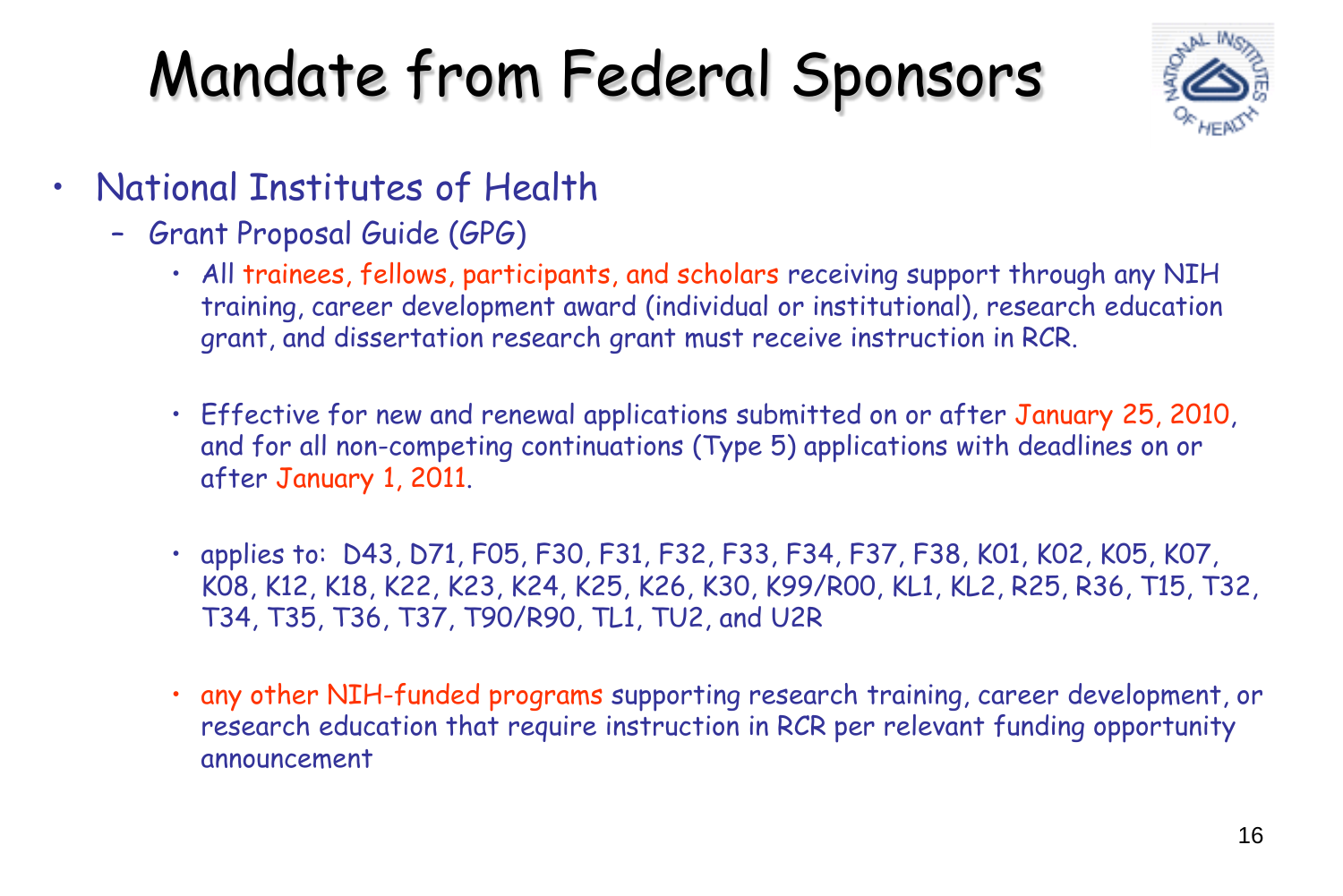

- National Institutes of Health
	- Grant Proposal Guide (GPG)
		- All trainees, fellows, participants, and scholars receiving support through any NIH training, career development award (individual or institutional), research education grant, and dissertation research grant must receive instruction in RCR.
		- Effective for new and renewal applications submitted on or after January 25, 2010, and for all non-competing continuations (Type 5) applications with deadlines on or after January 1, 2011.
		- applies to: D43, D71, F05, F30, F31, F32, F33, F34, F37, F38, K01, K02, K05, K07, K08, K12, K18, K22, K23, K24, K25, K26, K30, K99/R00, KL1, KL2, R25, R36, T15, T32, T34, T35, T36, T37, T90/R90, TL1, TU2, and U2R
		- any other NIH-funded programs supporting research training, career development, or research education that require instruction in RCR per relevant funding opportunity announcement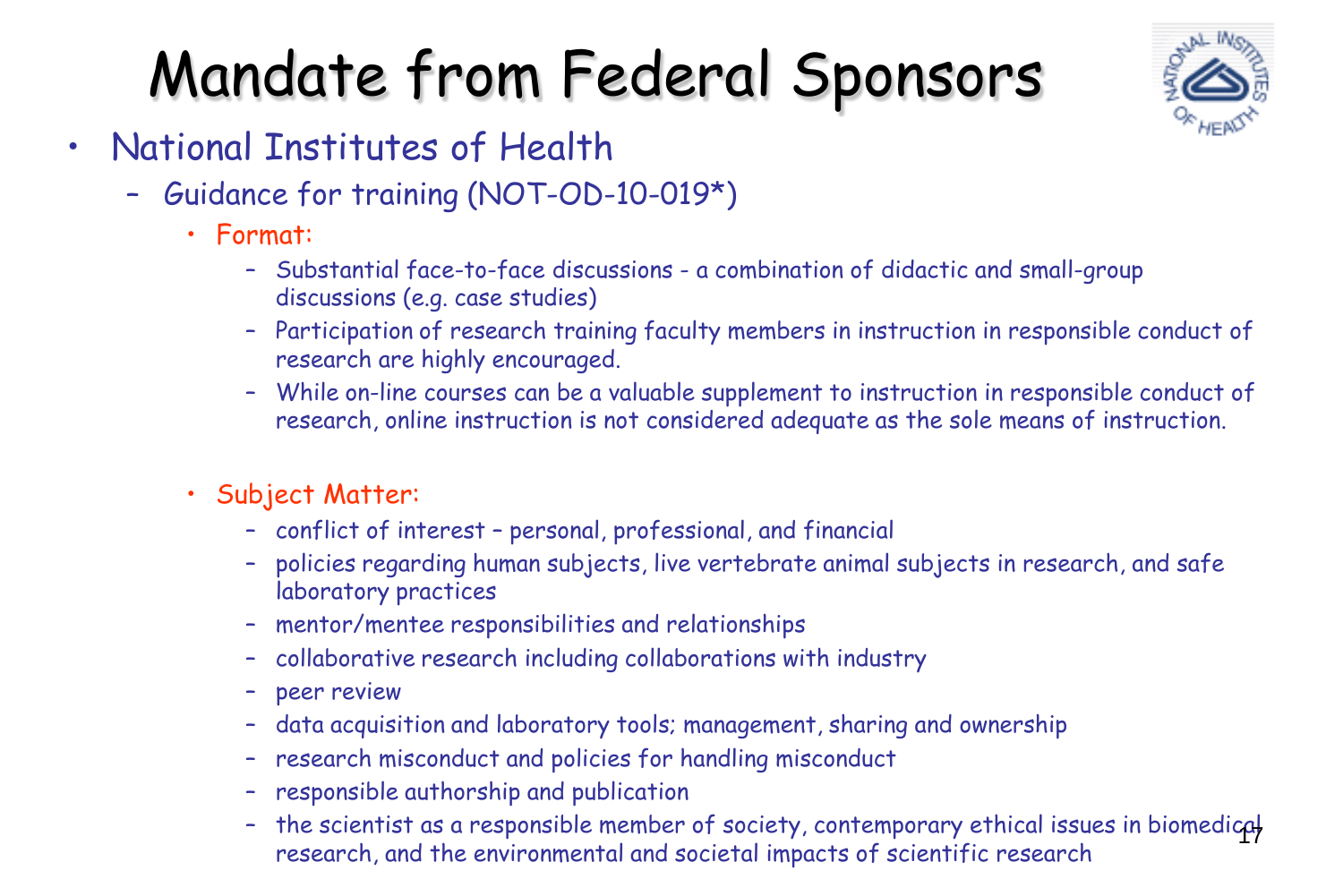

- National Institutes of Health
	- Guidance for training (NOT-OD-10-019\*)
		- Format:
			- Substantial face-to-face discussions a combination of didactic and small-group discussions (e.g. case studies)
			- Participation of research training faculty members in instruction in responsible conduct of research are highly encouraged.
			- While on-line courses can be a valuable supplement to instruction in responsible conduct of research, online instruction is not considered adequate as the sole means of instruction.
		- Subject Matter:
			- conflict of interest personal, professional, and financial
			- policies regarding human subjects, live vertebrate animal subjects in research, and safe laboratory practices
			- mentor/mentee responsibilities and relationships
			- collaborative research including collaborations with industry
			- peer review
			- data acquisition and laboratory tools; management, sharing and ownership
			- research misconduct and policies for handling misconduct
			- responsible authorship and publication
			- the scientist as a responsible member of society, contemporary ethical issues in biomedical research, and the environmental and societal impacts of scientific research <sup>17</sup>